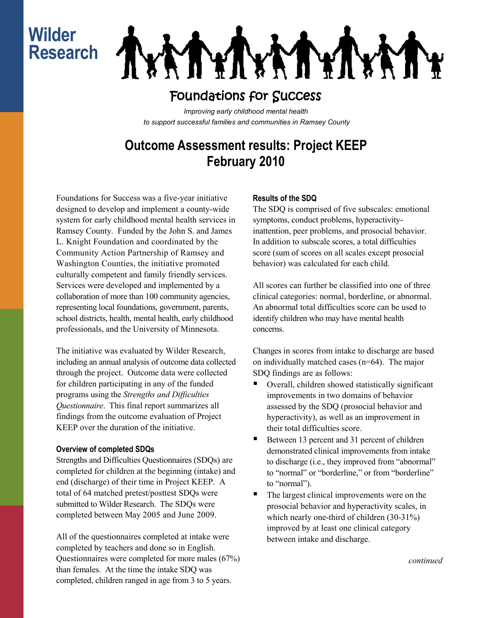# **Wilder Research**

**IXATYIN** 

## Foundations for Success

*Improving early childhood mental health to support successful families and communities in Ramsey County*

## **Outcome Assessment results: Project KEEP February 2010**

Foundations for Success was a five-year initiative designed to develop and implement a county-wide system for early childhood mental health services in Ramsey County. Funded by the John S. and James L. Knight Foundation and coordinated by the Community Action Partnership of Ramsey and Washington Counties, the initiative promoted culturally competent and family friendly services. Services were developed and implemented by a collaboration of more than 100 community agencies, representing local foundations, government, parents, school districts, health, mental health, early childhood professionals, and the University of Minnesota.

The initiative was evaluated by Wilder Research, including an annual analysis of outcome data collected through the project. Outcome data were collected for children participating in any of the funded programs using the *Strengths and Difficulties Questionnaire*. This final report summarizes all findings from the outcome evaluation of Project KEEP over the duration of the initiative.

#### **Overview of completed SDQs**

Strengths and Difficulties Questionnaires (SDQs) are completed for children at the beginning (intake) and end (discharge) of their time in Project KEEP. A total of 64 matched pretest/posttest SDQs were submitted to Wilder Research. The SDQs were completed between May 2005 and June 2009.

All of the questionnaires completed at intake were completed by teachers and done so in English. Questionnaires were completed for more males (67%) than females. At the time the intake SDQ was completed, children ranged in age from 3 to 5 years.

### **Results of the SDQ**

The SDQ is comprised of five subscales: emotional symptoms, conduct problems, hyperactivityinattention, peer problems, and prosocial behavior. In addition to subscale scores, a total difficulties score (sum of scores on all scales except prosocial behavior) was calculated for each child.

All scores can further be classified into one of three clinical categories: normal, borderline, or abnormal. An abnormal total difficulties score can be used to identify children who may have mental health concerns.

Changes in scores from intake to discharge are based on individually matched cases (n=64). The major SDQ findings are as follows:

- Overall, children showed statistically significant improvements in two domains of behavior assessed by the SDQ (prosocial behavior and hyperactivity), as well as an improvement in their total difficulties score.
- Between 13 percent and 31 percent of children demonstrated clinical improvements from intake to discharge (i.e., they improved from "abnormal" to "normal" or "borderline," or from "borderline" to "normal").
- The largest clinical improvements were on the prosocial behavior and hyperactivity scales, in which nearly one-third of children (30-31%) improved by at least one clinical category between intake and discharge.

*continued*